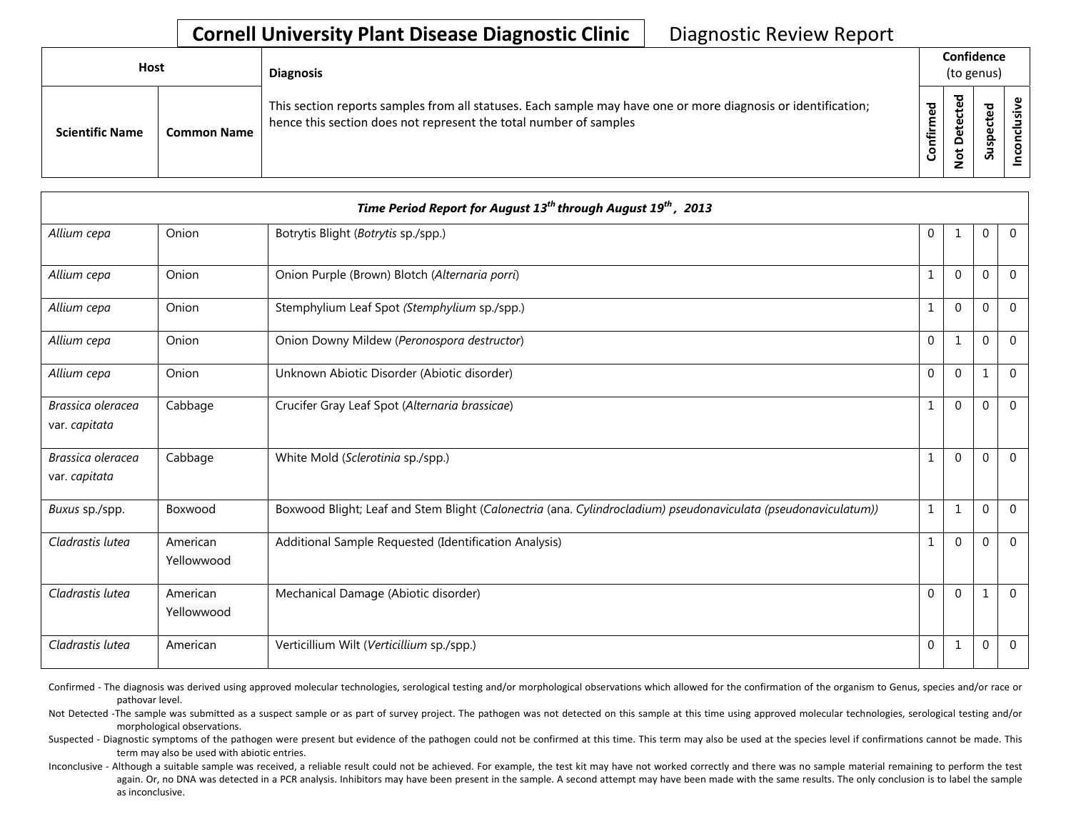| Host                                         | <b>Diagnosis</b>                                                                                                                                                                   |                       | Confidence<br>(to genus)                     |                            |   |
|----------------------------------------------|------------------------------------------------------------------------------------------------------------------------------------------------------------------------------------|-----------------------|----------------------------------------------|----------------------------|---|
| <b>Scientific Name</b><br><b>Common Name</b> | This section reports samples from all statuses. Each sample may have one or more diagnosis or identification;<br>hence this section does not represent the total number of samples | ිවි<br>ම<br>nfir<br>ပ | ਠ<br>ق<br>ں<br>ق<br>۵<br>۵<br>ى<br>$\dot{S}$ | ठ<br>ö<br>௨<br>s<br>-<br>ഗ | š |

|                                    |                        | Time Period Report for August 13 <sup>th</sup> through August 19 <sup>th</sup> , 2013                          |              |                |                |              |
|------------------------------------|------------------------|----------------------------------------------------------------------------------------------------------------|--------------|----------------|----------------|--------------|
| Allium cepa                        | Onion                  | Botrytis Blight (Botrytis sp./spp.)                                                                            | $\mathbf 0$  | 1              | $\mathbf 0$    | $\mathbf 0$  |
| Allium cepa                        | Onion                  | Onion Purple (Brown) Blotch (Alternaria porri)                                                                 | 1            | $\mathbf 0$    | 0              | $\mathbf{0}$ |
| Allium cepa                        | Onion                  | Stemphylium Leaf Spot (Stemphylium sp./spp.)                                                                   | $\mathbf{1}$ | $\Omega$       | $\mathbf 0$    | $\Omega$     |
| Allium cepa                        | Onion                  | Onion Downy Mildew (Peronospora destructor)                                                                    | $\Omega$     | $\mathbf{1}$   | $\Omega$       | $\Omega$     |
| Allium cepa                        | Onion                  | Unknown Abiotic Disorder (Abiotic disorder)                                                                    | $\Omega$     | $\Omega$       | 1              | $\mathbf{0}$ |
| Brassica oleracea<br>var. capitata | Cabbage                | Crucifer Gray Leaf Spot (Alternaria brassicae)                                                                 | 1            | $\mathbf 0$    | $\Omega$       | $\Omega$     |
| Brassica oleracea<br>var. capitata | Cabbage                | White Mold (Sclerotinia sp./spp.)                                                                              | 1            | $\mathbf 0$    | $\mathbf{0}$   | $\mathbf{0}$ |
| Buxus sp./spp.                     | Boxwood                | Boxwood Blight; Leaf and Stem Blight (Calonectria (ana. Cylindrocladium) pseudonaviculata (pseudonaviculatum)) | $\mathbf{1}$ | $\mathbf{1}$   | $\overline{0}$ | $\mathbf{0}$ |
| Cladrastis lutea                   | American<br>Yellowwood | Additional Sample Requested (Identification Analysis)                                                          | $\mathbf{1}$ | $\Omega$       | $\Omega$       | $\Omega$     |
| Cladrastis lutea                   | American<br>Yellowwood | Mechanical Damage (Abiotic disorder)                                                                           | $\Omega$     | $\overline{0}$ | 1              | $\mathbf 0$  |
| Cladrastis lutea                   | American               | Verticillium Wilt (Verticillium sp./spp.)                                                                      | $\mathbf 0$  | $\mathbf{1}$   | $\mathbf 0$    | $\mathbf 0$  |

Confirmed - The diagnosis was derived using approved molecular technologies, serological testing and/or morphological observations which allowed for the confirmation of the organism to Genus, species and/or race or pathovar level.

Not Detected -The sample was submitted as a suspect sample or as part of survey project. The pathogen was not detected on this sample at this time using approved molecular technologies, serological testing and/or morphological observations.

Suspected - Diagnostic symptoms of the pathogen were present but evidence of the pathogen could not be confirmed at this time. This term may also be used at the species level if confirmations cannot be made. This term may also be used with abiotic entries.

Inconclusive - Although a suitable sample was received, a reliable result could not be achieved. For example, the test kit may have not worked correctly and there was no sample material remaining to perform the test again. Or, no DNA was detected in a PCR analysis. Inhibitors may have been present in the sample. A second attempt may have been made with the same results. The only conclusion is to label the sample as inconclusive.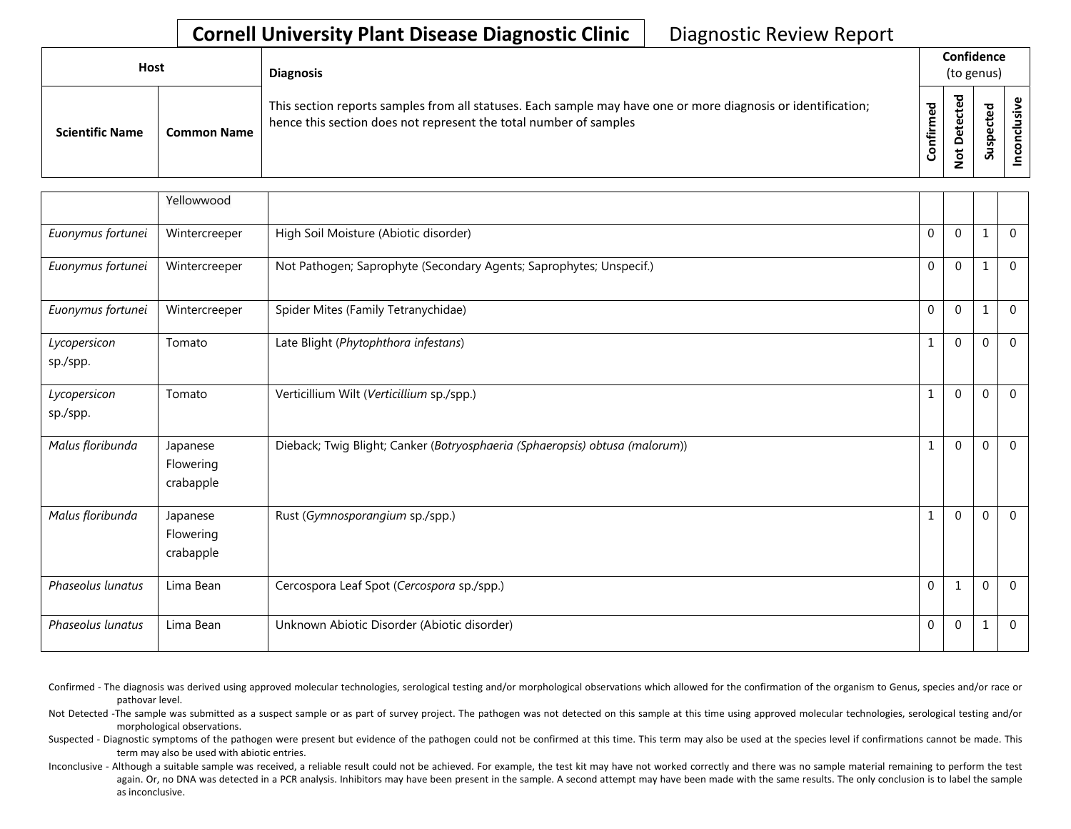| Host                   |                    | <b>Diagnosis</b>                                                                                                                                                                   |               | Confidence<br>(to genus)         |               |   |
|------------------------|--------------------|------------------------------------------------------------------------------------------------------------------------------------------------------------------------------------|---------------|----------------------------------|---------------|---|
| <b>Scientific Name</b> | <b>Common Name</b> | This section reports samples from all statuses. Each sample may have one or more diagnosis or identification;<br>hence this section does not represent the total number of samples | med<br>onfiri | ᅙ<br>Φ<br>ىد<br>≏<br>ى<br>۰<br>– | ਠ<br>ဒူ<br>್ಯ | s |

|                          | Yellowwood                         |                                                                              |                  |             |              |                |
|--------------------------|------------------------------------|------------------------------------------------------------------------------|------------------|-------------|--------------|----------------|
| Euonymus fortunei        | Wintercreeper                      | High Soil Moisture (Abiotic disorder)                                        | $\boldsymbol{0}$ | $\mathbf 0$ | $\mathbf{1}$ | $\mathbf 0$    |
| Euonymus fortunei        | Wintercreeper                      | Not Pathogen; Saprophyte (Secondary Agents; Saprophytes; Unspecif.)          | $\mathbf{0}$     | $\Omega$    | $\mathbf{1}$ | $\overline{0}$ |
| Euonymus fortunei        | Wintercreeper                      | Spider Mites (Family Tetranychidae)                                          | $\mathbf 0$      | $\mathbf 0$ | $\mathbf{1}$ | $\mathbf 0$    |
| Lycopersicon<br>sp./spp. | Tomato                             | Late Blight (Phytophthora infestans)                                         | 1                | $\mathbf 0$ | $\mathbf 0$  | $\overline{0}$ |
| Lycopersicon<br>sp./spp. | Tomato                             | Verticillium Wilt (Verticillium sp./spp.)                                    | 1                | $\Omega$    | $\mathbf{0}$ | $\overline{0}$ |
| Malus floribunda         | Japanese<br>Flowering<br>crabapple | Dieback; Twig Blight; Canker (Botryosphaeria (Sphaeropsis) obtusa (malorum)) | $\mathbf{1}$     | $\mathbf 0$ | $\mathbf 0$  | $\mathbf 0$    |
| Malus floribunda         | Japanese<br>Flowering<br>crabapple | Rust (Gymnosporangium sp./spp.)                                              | $\mathbf{1}$     | $\Omega$    | $\mathbf 0$  | $\overline{0}$ |
| Phaseolus lunatus        | Lima Bean                          | Cercospora Leaf Spot (Cercospora sp./spp.)                                   | $\mathbf 0$      | 1           | $\mathbf 0$  | $\mathbf 0$    |
| Phaseolus lunatus        | Lima Bean                          | Unknown Abiotic Disorder (Abiotic disorder)                                  | $\mathbf{0}$     | $\mathbf 0$ | $\mathbf{1}$ | $\mathbf 0$    |

- Confirmed The diagnosis was derived using approved molecular technologies, serological testing and/or morphological observations which allowed for the confirmation of the organism to Genus, species and/or race or pathovar level.
- Not Detected -The sample was submitted as a suspect sample or as part of survey project. The pathogen was not detected on this sample at this time using approved molecular technologies, serological testing and/or morphological observations.
- Suspected Diagnostic symptoms of the pathogen were present but evidence of the pathogen could not be confirmed at this time. This term may also be used at the species level if confirmations cannot be made. This term may also be used with abiotic entries.
- Inconclusive Although a suitable sample was received, a reliable result could not be achieved. For example, the test kit may have not worked correctly and there was no sample material remaining to perform the test again. Or, no DNA was detected in a PCR analysis. Inhibitors may have been present in the sample. A second attempt may have been made with the same results. The only conclusion is to label the sample as inconclusive.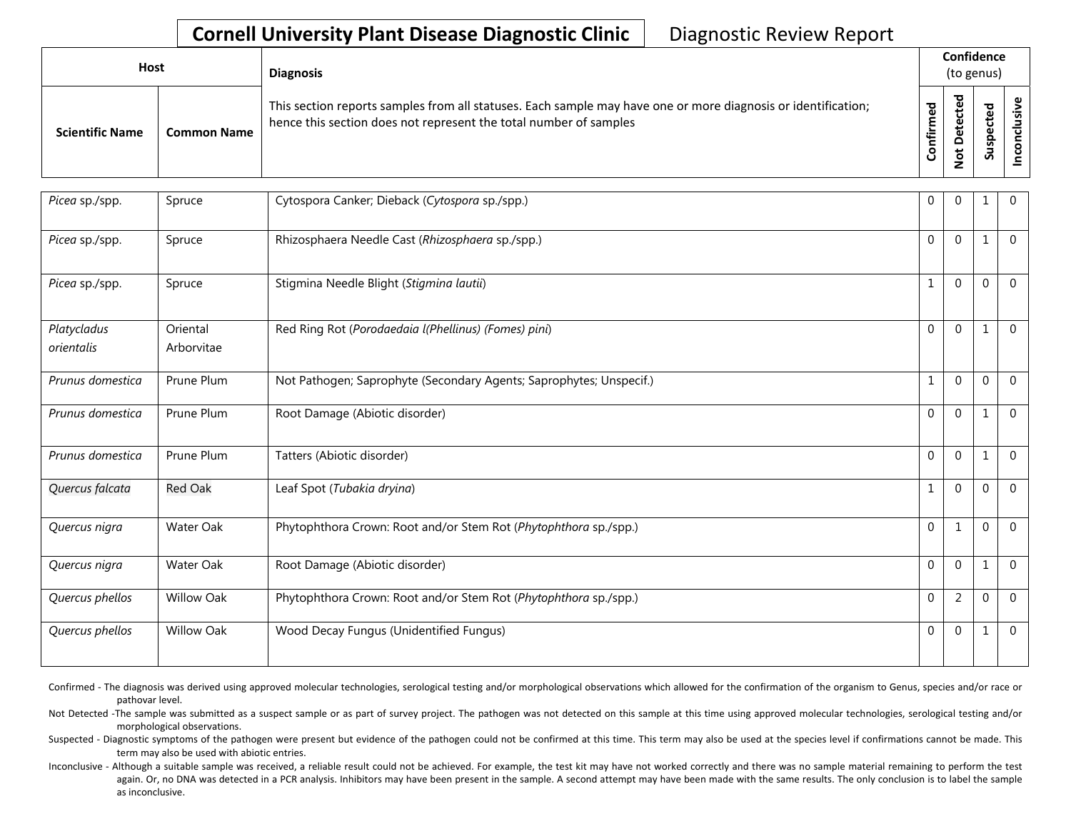| <b>Host</b>            |                    | <b>Diagnosis</b>                                                                                                                                                                   |         |             |                          |   | Confidence<br>(to genus) |  |
|------------------------|--------------------|------------------------------------------------------------------------------------------------------------------------------------------------------------------------------------|---------|-------------|--------------------------|---|--------------------------|--|
| <b>Scientific Name</b> | <b>Common Name</b> | This section reports samples from all statuses. Each sample may have one or more diagnosis or identification;<br>hence this section does not represent the total number of samples | ਠ<br>≐. | ᇃ<br>ى<br>ۅ | ᠊ᠣ<br>ω<br>ω<br>င္တ<br>Ō | ൧ |                          |  |

| Picea sp./spp.            | Spruce                 | Cytospora Canker; Dieback (Cytospora sp./spp.)                      | $\mathbf 0$  | $\Omega$       | 1            | $\mathbf{0}$ |
|---------------------------|------------------------|---------------------------------------------------------------------|--------------|----------------|--------------|--------------|
| Picea sp./spp.            | Spruce                 | Rhizosphaera Needle Cast (Rhizosphaera sp./spp.)                    | $\Omega$     | $\Omega$       | 1            | $\Omega$     |
| Picea sp./spp.            | Spruce                 | Stigmina Needle Blight (Stigmina lautii)                            | $\mathbf{1}$ | $\Omega$       | $\Omega$     | $\Omega$     |
| Platycladus<br>orientalis | Oriental<br>Arborvitae | Red Ring Rot (Porodaedaia l(Phellinus) (Fomes) pini)                | $\Omega$     | $\Omega$       |              | $\mathbf{0}$ |
| Prunus domestica          | Prune Plum             | Not Pathogen; Saprophyte (Secondary Agents; Saprophytes; Unspecif.) | $\mathbf{1}$ | $\Omega$       | $\Omega$     | $\Omega$     |
| Prunus domestica          | Prune Plum             | Root Damage (Abiotic disorder)                                      | $\Omega$     | $\Omega$       |              | $\Omega$     |
| Prunus domestica          | Prune Plum             | Tatters (Abiotic disorder)                                          | $\Omega$     | $\Omega$       | 1            | $\mathbf{0}$ |
| Quercus falcata           | <b>Red Oak</b>         | Leaf Spot (Tubakia dryina)                                          | $\mathbf{1}$ | $\Omega$       | 0            | $\Omega$     |
| Quercus nigra             | Water Oak              | Phytophthora Crown: Root and/or Stem Rot (Phytophthora sp./spp.)    | $\mathbf 0$  | $\mathbf{1}$   | $\Omega$     | $\Omega$     |
| Quercus nigra             | Water Oak              | Root Damage (Abiotic disorder)                                      | $\Omega$     | $\Omega$       | $\mathbf{1}$ | $\Omega$     |
| Quercus phellos           | <b>Willow Oak</b>      | Phytophthora Crown: Root and/or Stem Rot (Phytophthora sp./spp.)    | $\Omega$     | $\overline{2}$ | 0            | $\Omega$     |
| Quercus phellos           | <b>Willow Oak</b>      | Wood Decay Fungus (Unidentified Fungus)                             | $\mathbf 0$  | $\Omega$       |              | $\mathbf{0}$ |

Confirmed - The diagnosis was derived using approved molecular technologies, serological testing and/or morphological observations which allowed for the confirmation of the organism to Genus, species and/or race or pathovar level.

Not Detected -The sample was submitted as a suspect sample or as part of survey project. The pathogen was not detected on this sample at this time using approved molecular technologies, serological testing and/or morphological observations.

Suspected - Diagnostic symptoms of the pathogen were present but evidence of the pathogen could not be confirmed at this time. This term may also be used at the species level if confirmations cannot be made. This term may also be used with abiotic entries.

Inconclusive - Although a suitable sample was received, a reliable result could not be achieved. For example, the test kit may have not worked correctly and there was no sample material remaining to perform the test again. Or, no DNA was detected in a PCR analysis. Inhibitors may have been present in the sample. A second attempt may have been made with the same results. The only conclusion is to label the sample as inconclusive.